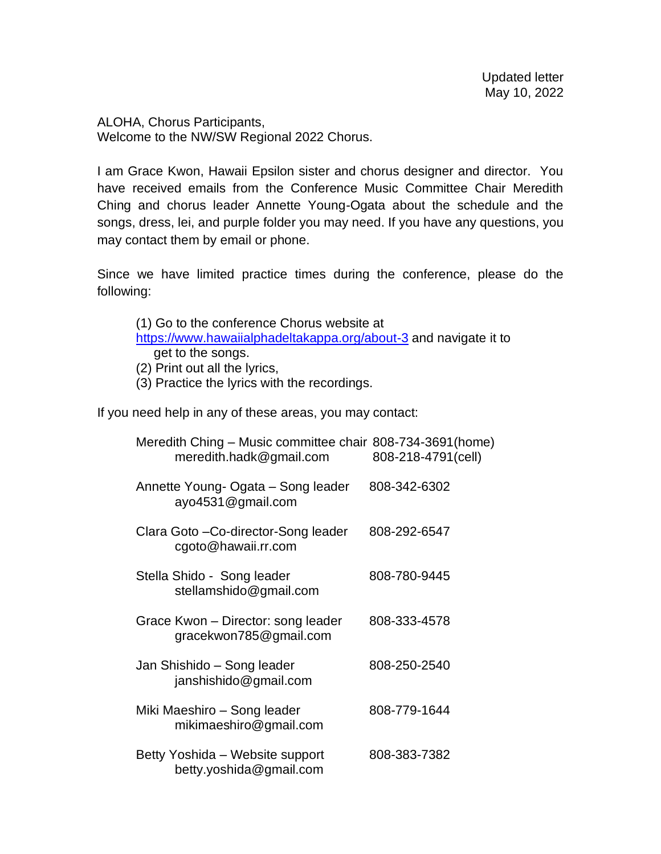ALOHA, Chorus Participants, Welcome to the NW/SW Regional 2022 Chorus.

I am Grace Kwon, Hawaii Epsilon sister and chorus designer and director. You have received emails from the Conference Music Committee Chair Meredith Ching and chorus leader Annette Young-Ogata about the schedule and the songs, dress, lei, and purple folder you may need. If you have any questions, you may contact them by email or phone.

Since we have limited practice times during the conference, please do the following:

| (1) Go to the conference Chorus website at                       |                               |  |  |  |
|------------------------------------------------------------------|-------------------------------|--|--|--|
| https://www.hawaiialphadeltakappa.org/about-3 and navigate it to |                               |  |  |  |
|                                                                  | get to the songs.             |  |  |  |
|                                                                  | (2) Print out all the lyrics, |  |  |  |

(3) Practice the lyrics with the recordings.

If you need help in any of these areas, you may contact:

| Meredith Ching – Music committee chair 808-734-3691 (home)<br>meredith.hadk@gmail.com | 808-218-4791(cell) |
|---------------------------------------------------------------------------------------|--------------------|
| Annette Young- Ogata – Song leader<br>ayo4531@gmail.com                               | 808-342-6302       |
| Clara Goto - Co-director-Song leader<br>cgoto@hawaii.rr.com                           | 808-292-6547       |
| Stella Shido - Song leader<br>stellamshido@gmail.com                                  | 808-780-9445       |
| Grace Kwon – Director: song leader<br>gracekwon785@gmail.com                          | 808-333-4578       |
| Jan Shishido – Song leader<br>janshishido@gmail.com                                   | 808-250-2540       |
| Miki Maeshiro – Song leader<br>mikimaeshiro@gmail.com                                 | 808-779-1644       |
| Betty Yoshida - Website support<br>betty.yoshida@gmail.com                            | 808-383-7382       |